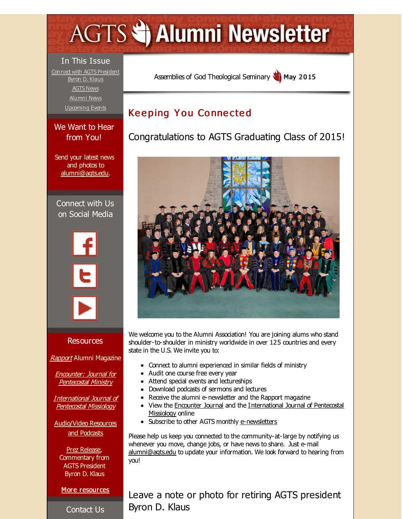# <span id="page-0-0"></span>**AGTS Statement Newsletter**

### In This Issue

Connect with AGTS [President](#page-0-0) Byron D. Klaus [AGTS](#page-0-0) News [Alumni](#page-0-0) News [Upcoming](#page-0-0) Events

#### We Want to Hear from You!

Send your latest news and photos to [alumni@agts.edu](mailto:alumni@agts.edu).

Connect with Us on Social Media



#### Resources

[Rapport](http://r20.rs6.net/tn.jsp?f=001Hf-EUuL7hsqyih6RygryInvQ45bUanTcJmWQ3FHtbCddzkqdE50bP4ObBRTRNZ8Hj8xiSuz4Ie1w5m-W_4EMulqw9acCmI9YXWFFL-F9YoXkv_yWrbkarhM_U-FGhToecx1HwEnXIMkEGPOHdjVVtAFBCbfYEblopftwS8K8yLWa_ADKo0dZD-xFZPMGrDIc&c=&ch=) Alumni Magazine

Encounter: Journal for [Pentecostal](http://r20.rs6.net/tn.jsp?f=001Hf-EUuL7hsqyih6RygryInvQ45bUanTcJmWQ3FHtbCddzkqdE50bP20hLuMrHxDpEO_6FYgShapa8g1l9tv-BnSPQjl7eRdAh_V3QxuAjd-9j2zGOSjGH0VMN6ZH43-WzXvKA3g5StcbXPxBsHC_eaNJvhLURn1YmGFqbzh0pwxBl2_NwV76IkCnbMCGYDAx&c=&ch=) Ministry

[International](http://r20.rs6.net/tn.jsp?f=001Hf-EUuL7hsqyih6RygryInvQ45bUanTcJmWQ3FHtbCddzkqdE50bP3x9tWFOBBjJeFxLLuwbWE3tB9l9ApbIAn7D6FbNl0ANIjDbtF3WQBGX2iPTW8megGWgHxNFFajQpft1MTqxENUBtAdMvMIoQrig8Od3A6N8OwCDdj4KT2wWHQiUdhwUoBAqspLEfaot&c=&ch=) Journal of Pentecostal Missiology

[Audio/Video](http://r20.rs6.net/tn.jsp?f=001Hf-EUuL7hsqyih6RygryInvQ45bUanTcJmWQ3FHtbCddzkqdE50bP06zjz7Ps0WolqA8c4YYjwQnnbRgpNFPr_HygR5EYEfXcjyw9D51hBQ8RvSifypcjbD5JuluSo1jvzmXHchpQZpLhsoAwwWr9fHmMaQyVbkL1-jefBZspgIssNbWxRntB8Bva3J9_9We&c=&ch=) Resources and Podcasts

Prez [Release](http://r20.rs6.net/tn.jsp?f=001Hf-EUuL7hsqyih6RygryInvQ45bUanTcJmWQ3FHtbCddzkqdE50bP0YmKIFPO5zJbyhAuQr5qMVqRbj9O42B1P4e386OduoZwCFn4c1pdfsvnUjAEbCG_Q1Zqef9ilokIlJgW4_Ww7qJhbkrv7l5PN5yx4Z1x6DsLi-P0yWNV8kkrpisghmjuO1eCnxwnpXEBXJx_bHjgEA=&c=&ch=), Commentary from AGTS President Byron D. Klaus

More [resources](http://r20.rs6.net/tn.jsp?f=001Hf-EUuL7hsqyih6RygryInvQ45bUanTcJmWQ3FHtbCddzkqdE50bP7py3AEJyr1HGUIX-vJT8a_DbOgKNUiE7S7Z_V-CttTmltKoSapnhZGdQ55ofkBORJKv1X026BS0ecx6sKKkySqE4GT6xPhJCCDLF4TKsK0yYn2A4BG0Mq6NTMmahhWrVAs-XtReWkcD5-qa75BymNI=&c=&ch=)

Contact Us

Assemblies of God [Theological](http://r20.rs6.net/tn.jsp?f=001Hf-EUuL7hsqyih6RygryInvQ45bUanTcJmWQ3FHtbCddzkqdE50bP9SDQ5WYXO8gxfvNfc8gjVqwU8tb_Gl3gEGlvrS3cDqfc32_gVwc_tM33NOniVNi9YeVqGzLuCJoiNN0CuupZ8inVkiJq5gc1kaRWApJXLiD&c=&ch=) Seminary May 2015

# **Keeping You Connected**

Congratulations to AGTS Graduating Class of 2015!



We welcome you to the Alumni Association! You are joining alums who stand shoulder-to-shoulder in ministry worldwide in over 125 countries and every state in the U.S. We invite you to:

- Connect to alumni experienced in similar fields of ministry
- Audit one course free every year
- Attend special events and lectureships
- Download podcasts of sermons and lectures
- Receive the alumni e-newsletter and the Rapport magazine
- View the [Encounter](http://r20.rs6.net/tn.jsp?f=001Hf-EUuL7hsqyih6RygryInvQ45bUanTcJmWQ3FHtbCddzkqdE50bP20hLuMrHxDpEO_6FYgShapa8g1l9tv-BnSPQjl7eRdAh_V3QxuAjd-9j2zGOSjGH0VMN6ZH43-WzXvKA3g5StcbXPxBsHC_eaNJvhLURn1YmGFqbzh0pwxBl2_NwV76IkCnbMCGYDAx&c=&ch=) Journal and the [International](http://r20.rs6.net/tn.jsp?f=001Hf-EUuL7hsqyih6RygryInvQ45bUanTcJmWQ3FHtbCddzkqdE50bP3x9tWFOBBjJeFxLLuwbWE3tB9l9ApbIAn7D6FbNl0ANIjDbtF3WQBGX2iPTW8megGWgHxNFFajQpft1MTqxENUBtAdMvMIoQrig8Od3A6N8OwCDdj4KT2wWHQiUdhwUoBAqspLEfaot&c=&ch=) Journal of Pentecostal Missiology online
- Subscribe to other AGTS monthly [e-newsletters](http://r20.rs6.net/tn.jsp?f=001Hf-EUuL7hsqyih6RygryInvQ45bUanTcJmWQ3FHtbCddzkqdE50bPzQdqwmCGPF1JPXjb21_gUu54WNDatq0ZW8l84l5vNCVb_IviT_QPS0Oh7sG0RTC8vimwnoOgMNchlDtP5U4RKADIyfkFl1FQhPZ5ieJoHUro7b21BKoGk75B-eS0ewENpkvb4hhTUfEdBlErUToP-c=&c=&ch=)

Please help us keep you connected to the community-at-large by notifying us whenever you move, change jobs, or have news to share. Just e-mail [alumni@agts.edu](mailto:alumni@agts.edu) to update your information. We look forward to hearing from you!

Leave a note or photo for retiring AGTS president Byron D. Klaus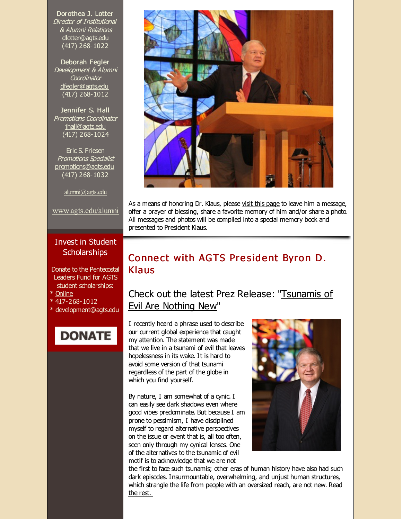Dorothea J. Lotter Director of Institutional & Alumni Relations [dlotter@agts.edu](mailto:dlotter@agts.edu) (417) 268-1022

Deborah Fegler Development & Alumni **Coordinator** [dfegler@agts.edu](mailto:dfegler@agts.edu) (417) 268-1012

Jennifer S. Hall Promotions Coordinator [jhall@agts.edu](mailto:jhall@agts.edu) (417) 268-1024

Eric S. Friesen Promotions Specialist [promotions@agts.edu](mailto:promotions@agts.edu) (417) 268-1032

[alumni@agts.edu](mailto:alumni@agts.edu)

[www.agts.edu/alumni](http://r20.rs6.net/tn.jsp?f=001Hf-EUuL7hsqyih6RygryInvQ45bUanTcJmWQ3FHtbCddzkqdE50bP4lthW5pPxTXidl_g4rEqi0p72j7PsQdRL-F9uH4hpTgXbGnUDbyuz2e0yMjiuRjmXKt5lI71oEqcwuHkhOjmWWKwa_x5lUcVl2F1DQqSDmggC17tA5uVd9xX6oUtHLSDA==&c=&ch=)

#### Invest in Student **Scholarships**

Donate to the Pentecostal Leaders Fund for AGTS student scholarships:

- \* [Online](http://r20.rs6.net/tn.jsp?f=001Hf-EUuL7hsqyih6RygryInvQ45bUanTcJmWQ3FHtbCddzkqdE50bP72kE35Ip8wrhqXQK_bjX2lAxRv1C6w5We6dYnuQwmd0_oFTrPOrv6L9j5HpnBVYqI4ruwT-BGZ42ivsi0Y83hYsA3kwmb6izwOp1LSDHhR15S5GkfIu58MNtZs8a0Q_gc7YLSmIooxfWZ0rpK-NsCjiv-4RLayejA==&c=&ch=)
- \* 417-268-1012
- [development@agts.edu](mailto:development@agts.edu)





As a means of honoring Dr. Klaus, please visit this [page](http://r20.rs6.net/tn.jsp?f=001Hf-EUuL7hsqyih6RygryInvQ45bUanTcJmWQ3FHtbCddzkqdE50bPzzx2sCuqcVSGamqH7iuv1Ni-eAnAuyU1mfRbvPqwC68xDY3Kk1k-VlweH4rC6RMwLzdWufjFpRgwoZtnGkXdIsG9O1hu2dDMCialkJ2ULpMBezLpr4C_TAvpwO7voHxCaKSG2z0_osE-C9UE7oMZiY=&c=&ch=) to leave him a message, offer a prayer of blessing, share a favorite memory of him and/or share a photo. All messages and photos will be compiled into a special memory book and presented to President Klaus.

## Connect with AGTS President Byron D. Klaus

## Check out the latest Prez Release: ["Tsunamis](http://r20.rs6.net/tn.jsp?f=001Hf-EUuL7hsqyih6RygryInvQ45bUanTcJmWQ3FHtbCddzkqdE50bP0_wK4FjpNw3SoT8nqxs4SGsjLus_H3UeYWL4blyr2qDGX-AzDXe_Iks8BA_EzV0RF5iFMipBNRMp9A3yUwkMOFVe1nk21wTuWh5B4O_o-AOfgsmuseYIT96mWzv_I-Mh288Vk3LoYPqsq4AUSdEMua0M0CLiZ8PsB4zCT3DRVZ59p9UEgIZ4NVJOEbF8ZBgbCxEBbYCyAzS&c=&ch=) of Evil Are Nothing New"

I recently heard a phrase used to describe our current global experience that caught my attention. The statement was made that we live in a tsunami of evil that leaves hopelessness in its wake. It is hard to avoid some version of that tsunami regardless of the part of the globe in which you find yourself.

By nature, I am somewhat of a cynic. I can easily see dark shadows even where good vibes predominate. But because I am prone to pessimism, I have disciplined myself to regard alternative perspectives on the issue or event that is, all too often, seen only through my cynical lenses. One of the alternatives to the tsunamic of evil motif is to acknowledge that we are not



the first to face such tsunamis; other eras of human history have also had such dark episodes. Insurmountable, overwhelming, and unjust human structures, which strangle the life from people with an [oversized](http://r20.rs6.net/tn.jsp?f=001Hf-EUuL7hsqyih6RygryInvQ45bUanTcJmWQ3FHtbCddzkqdE50bP0_wK4FjpNw3SoT8nqxs4SGsjLus_H3UeYWL4blyr2qDGX-AzDXe_Iks8BA_EzV0RF5iFMipBNRMp9A3yUwkMOFVe1nk21wTuWh5B4O_o-AOfgsmuseYIT96mWzv_I-Mh288Vk3LoYPqsq4AUSdEMua0M0CLiZ8PsB4zCT3DRVZ59p9UEgIZ4NVJOEbF8ZBgbCxEBbYCyAzS&c=&ch=) reach, are not new. Read the rest.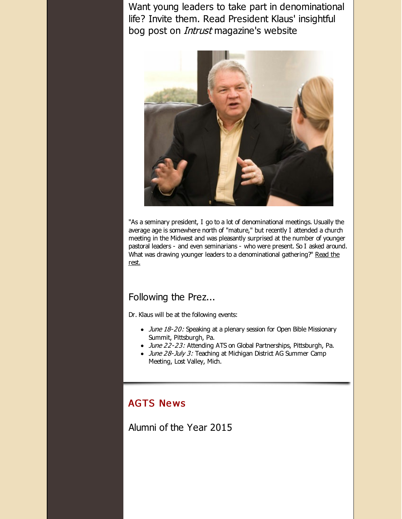Want young leaders to take part in denominational life? Invite them. Read President Klaus' insightful bog post on Intrust magazine's website



"As a seminary president, I go to a lot of denominational meetings. Usually the average age is somewhere north of "mature," but recently I attended a church meeting in the Midwest and was pleasantly surprised at the number of younger pastoral leaders - and even seminarians - who were present. So I asked around. What was drawing younger leaders to a [denominational](http://r20.rs6.net/tn.jsp?f=001Hf-EUuL7hsqyih6RygryInvQ45bUanTcJmWQ3FHtbCddzkqdE50bP0_wK4FjpNw3mWVfXno4q0lXQjjqQM7S7XY6cZqDSEX3tyJMVtr6_KQkE1TDn_aPJOsZAEEsk_OdGhzRsoH7EZiBpC7PGWnCJjuE_BstkdVHwJd6HGf4z7sG60nRvYxc7Wx5y6AlhvwBw7-DWOACHQktGOh8zH3jgxQw1hKXB4Bbal5oRYwc6RI55JkdItAOtRX4wPX3eeMit4SLG-WyvdDCo5wa3ktxEI6uZMFo7SXNH8EMJY3vNpoU8fvZv7ORfA==&c=&ch=) gathering?" Read the rest.

#### Following the Prez...

Dr. Klaus will be at the following events:

- June 18-20: Speaking at a plenary session for Open Bible Missionary Summit, Pittsburgh, Pa.
- June 22-23: Attending ATS on Global Partnerships, Pittsburgh, Pa.
- June 28-July 3: Teaching at Michigan District AG Summer Camp Meeting, Lost Valley, Mich.

#### **AGTS News**

Alumni of the Year 2015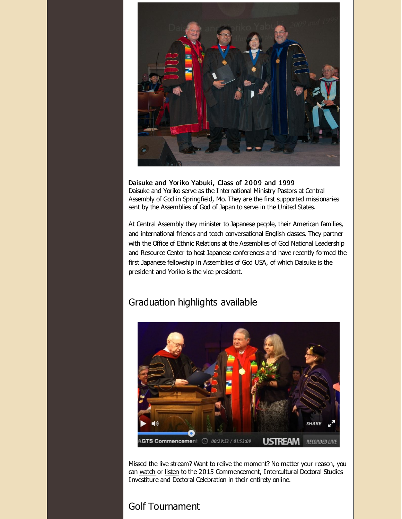

Daisuke and Yoriko Yabuki, Class of 2009 and 1999 Daisuke and Yoriko serve as the International Ministry Pastors at Central Assembly of God in Springfield, Mo. They are the first supported missionaries sent by the Assemblies of God of Japan to serve in the United States.

At Central Assembly they minister to Japanese people, their American families, and international friends and teach conversational English dasses. They partner with the Office of Ethnic Relations at the Assemblies of God National Leadership and Resource Center to host Japanese conferences and have recently formed the first Japanese fellowship in Assemblies of God USA, of which Daisuke is the president and Yoriko is the vice president.

## Graduation highlights available



Missed the live stream? Want to relive the moment? No matter your reason, you can [watch](http://r20.rs6.net/tn.jsp?f=001Hf-EUuL7hsqyih6RygryInvQ45bUanTcJmWQ3FHtbCddzkqdE50bP0_wK4FjpNw3cEJIRzYKbx_kVOjH8zrh0zibDawUQewaetnTgX8h0ff4T-QAtMnxI6xY8OKGMG_TxC8A35zaOsaqWSTu2wordLFA3WRJv1lyUb0ySC8JcyxqvlmbpmEvNU01sbs751e9p-YNECd0vLi_B1y_kPMtrBzTAcf7B1KKi48QYCbsDCIjFwNjkHH_k2eZtFbtqdQC&c=&ch=) or [listen](http://r20.rs6.net/tn.jsp?f=001Hf-EUuL7hsqyih6RygryInvQ45bUanTcJmWQ3FHtbCddzkqdE50bPzYreGVMFA9JYDwSm4w0xvmjZpr0krXJfZCfXDrFHyp6-ZQ3s7cPofe0pIsqYEf7JQYufrDmNtGVmF7MPcuVqhr2N4QhT6JBRibDd1sMdJFajkOA40X3s5AHYh1GEtjSZ_AH_xZRAl5EYNBT6bH0_wY=&c=&ch=) to the 2015 Commencement, Intercultural Doctoral Studies Investiture and Doctoral Celebration in their entirety online.

## Golf Tournament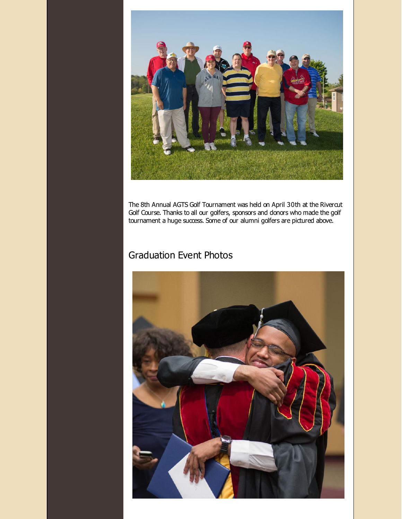

The 8th Annual AGTS Golf Tournament was held on April 30th at the Rivercut Golf Course. Thanks to all our golfers, sponsors and donors who made the golf tournament a huge success. Some of our alumni golfers are pictured above.

# Graduation Event Photos

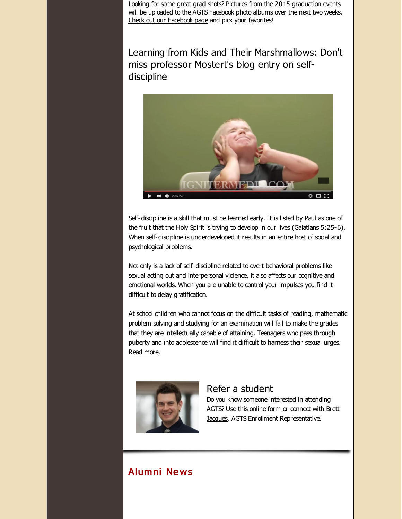Looking for some great grad shots? Pictures from the 2015 graduation events will be uploaded to the AGTS Facebook photo albums over the next two weeks. Check out our [Facebook](http://r20.rs6.net/tn.jsp?f=001Hf-EUuL7hsqyih6RygryInvQ45bUanTcJmWQ3FHtbCddzkqdE50bP1NnpC7RQMOmFNX-rbfZvlWYZpS9jChfjLAgO1lFuzORGqyBS-6ICtBhQrB01wc_MdIM8rCu_Ib3zKFPiURgj4CUlQVyO9ibj9ZlHSPcMiKH284bBD2aN3AGK99Y2SPNyISKYH3_zgzJUEnVvVzXrE0VJjOkup4z3xxjQOYemiat&c=&ch=) page and pick your favorites!

Learning from Kids and Their Marshmallows: Don't miss professor Mostert's blog entry on selfdiscipline



Self-discipline is a skill that must be learned early. It is listed by Paul as one of the fruit that the Holy Spirit is trying to develop in our lives (Galatians 5:25-6). When self-discipline is underdeveloped it results in an entire host of social and psychological problems.

Not only is a lack of self-discipline related to overt behavioral problems like sexual acting out and interpersonal violence, it also affects our cognitive and emotional worlds. When you are unable to control your impulses you find it difficult to delay gratification.

At school children who cannot focus on the difficult tasks of reading, mathematic problem solving and studying for an examination will fail to make the grades that they are intellectually capable of attaining. Teenagers who pass through puberty and into adolescence will find it difficult to harness their sexual urges. Read [more.](http://r20.rs6.net/tn.jsp?f=001Hf-EUuL7hsqyih6RygryInvQ45bUanTcJmWQ3FHtbCddzkqdE50bP0_wK4FjpNw3bdAF2KZFyTGABOc0boj2_DcB4HypBcjDHFhMgqOKKBCRXsZGJOO1-PqB-LVwXQKsMrqlSvDMzXHPeVGovG6kQTzIG1VyoVBOl9_z_4XKXaHGSBHo67TTFfZLM1Wl5xhtmejrAs0i5T7bCqWw9reVtPtu8ff6eT6zpm6VVHB76qeA-RKFBRX_ig==&c=&ch=)



#### Refer a student Do you know someone interested in attending

AGTS? Use this [online](http://r20.rs6.net/tn.jsp?f=001Hf-EUuL7hsqyih6RygryInvQ45bUanTcJmWQ3FHtbCddzkqdE50bPw745Zhv7bVUKN8T8n9n1en07gT4j-h8hL0Ytw91ANBkBO8Rx8XePnC7qRdRyjSzHH3LVFkkFCGzbXnLed0aXP0WTrqevIybYOwdT9fEGDbIDuj7qb7LlJB_enTGwgYmAr3EvZMHXTxP&c=&ch=) form or connect with Brett Jacques, AGTS Enrollment [Representative.](mailto:jacquesb@evangel.edu)

# Alumni Ne ws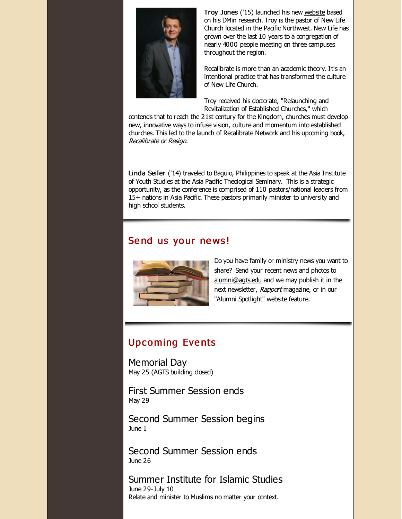

Troy Jones ('15) launched his new [website](http://r20.rs6.net/tn.jsp?f=001Hf-EUuL7hsqyih6RygryInvQ45bUanTcJmWQ3FHtbCddzkqdE50bP0_wK4FjpNw34eYSharchltibGRYA0-Vma-BdM1-WJdHwNf5k4ruNB6ylcZIIQK2jjwDI19zAFWiH0PA-tFTXDmzwEBAJwHUEwaJiR-ad9uDyHSnpb8smWmBTWgTj3Uk8ong2Y4LJJ0Z&c=&ch=) based on his DMin research. Troy is the pastor of New Life Church located in the Pacific Northwest. New Life has grown over the last 10 years to a congregation of nearly 4000 people meeting on three campuses throughout the region.

Recalibrate is more than an academic theory. It's an intentional practice that has transformed the culture of New Life Church.

Troy received his doctorate, "Relaunching and Revitalization of Established Churches," which

contends that to reach the 21st century for the Kingdom, churches must develop new, innovative ways to infuse vision, culture and momentum into established churches. This led to the launch of Recalibrate Network and his upcoming book, Recalibrate or Resign.

Linda Seiler ('14) traveled to Baguio, Philippines to speak at the Asia Institute of Youth Studies at the Asia Pacific Theological Seminary. This is a strategic opportunity, as the conference is comprised of 110 pastors/national leaders from 15+ nations in Asia Pacific. These pastors primarily minister to university and high school students.

## Send us your news!



Do you have family or ministry news you want to share? Send your recent news and photos to [alumni@agts.edu](mailto:alumni@agts.edu) and we may publish it in the next newsletter, Rapport magazine, or in our "Alumni Spotlight" website feature.

# **Upcoming Events**

Memorial Day May 25 (AGTS building closed)

First Summer Session ends May 29

Second Summer Session begins June 1

Second Summer Session ends June 26

Summer Institute for Islamic Studies June 29-July 10 Relate and minister to [Muslims](http://r20.rs6.net/tn.jsp?f=001Hf-EUuL7hsqyih6RygryInvQ45bUanTcJmWQ3FHtbCddzkqdE50bP3Junt9Tw9MDNboh7cW4AGYS9G0x-wQ2aw2xuQtE05uNDYZCK0OyLSDZ6yUaWqjcPIOGhnWKeh6MHSs6vlOGBlG4alEyTyLyM4XdmnHaChbCYx45OxHUhbLRqaTDhcENmdTwBdRf49LtKixWPSf_ueXKamWNqA1yC1wFQRX734Sm&c=&ch=) no matter your context.